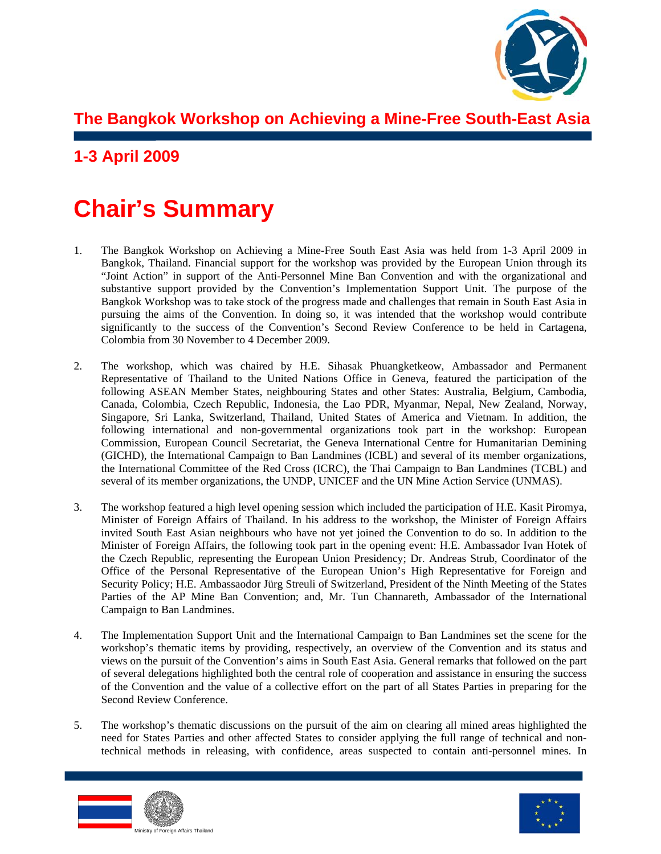

**The Bangkok Workshop on Achieving a Mine-Free South-East Asia** 

# **1-3 April 2009**

# **Chair's Summary**

- 1. The Bangkok Workshop on Achieving a Mine-Free South East Asia was held from 1-3 April 2009 in Bangkok, Thailand. Financial support for the workshop was provided by the European Union through its "Joint Action" in support of the Anti-Personnel Mine Ban Convention and with the organizational and substantive support provided by the Convention's Implementation Support Unit. The purpose of the Bangkok Workshop was to take stock of the progress made and challenges that remain in South East Asia in pursuing the aims of the Convention. In doing so, it was intended that the workshop would contribute significantly to the success of the Convention's Second Review Conference to be held in Cartagena, Colombia from 30 November to 4 December 2009.
- 2. The workshop, which was chaired by H.E. Sihasak Phuangketkeow, Ambassador and Permanent Representative of Thailand to the United Nations Office in Geneva, featured the participation of the following ASEAN Member States, neighbouring States and other States: Australia, Belgium, Cambodia, Canada, Colombia, Czech Republic, Indonesia, the Lao PDR, Myanmar, Nepal, New Zealand, Norway, Singapore, Sri Lanka, Switzerland, Thailand, United States of America and Vietnam. In addition, the following international and non-governmental organizations took part in the workshop: European Commission, European Council Secretariat, the Geneva International Centre for Humanitarian Demining (GICHD), the International Campaign to Ban Landmines (ICBL) and several of its member organizations, the International Committee of the Red Cross (ICRC), the Thai Campaign to Ban Landmines (TCBL) and several of its member organizations, the UNDP, UNICEF and the UN Mine Action Service (UNMAS).
- 3. The workshop featured a high level opening session which included the participation of H.E. Kasit Piromya, Minister of Foreign Affairs of Thailand. In his address to the workshop, the Minister of Foreign Affairs invited South East Asian neighbours who have not yet joined the Convention to do so. In addition to the Minister of Foreign Affairs, the following took part in the opening event: H.E. Ambassador Ivan Hotek of the Czech Republic, representing the European Union Presidency; Dr. Andreas Strub, Coordinator of the Office of the Personal Representative of the European Union's High Representative for Foreign and Security Policy; H.E. Ambassaodor Jürg Streuli of Switzerland, President of the Ninth Meeting of the States Parties of the AP Mine Ban Convention; and, Mr. Tun Channareth, Ambassador of the International Campaign to Ban Landmines.
- 4. The Implementation Support Unit and the International Campaign to Ban Landmines set the scene for the workshop's thematic items by providing, respectively, an overview of the Convention and its status and views on the pursuit of the Convention's aims in South East Asia. General remarks that followed on the part of several delegations highlighted both the central role of cooperation and assistance in ensuring the success of the Convention and the value of a collective effort on the part of all States Parties in preparing for the Second Review Conference.
- 5. The workshop's thematic discussions on the pursuit of the aim on clearing all mined areas highlighted the need for States Parties and other affected States to consider applying the full range of technical and nontechnical methods in releasing, with confidence, areas suspected to contain anti-personnel mines. In



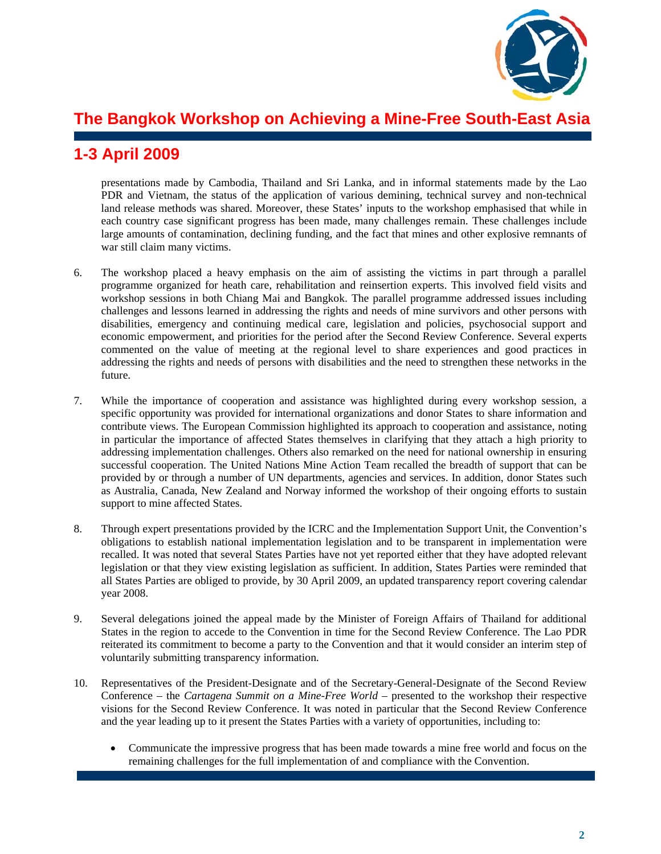

## **The Bangkok Workshop on Achieving a Mine-Free South-East Asia**

#### **1-3 April 2009**

presentations made by Cambodia, Thailand and Sri Lanka, and in informal statements made by the Lao PDR and Vietnam, the status of the application of various demining, technical survey and non-technical land release methods was shared. Moreover, these States' inputs to the workshop emphasised that while in each country case significant progress has been made, many challenges remain. These challenges include large amounts of contamination, declining funding, and the fact that mines and other explosive remnants of war still claim many victims.

- 6. The workshop placed a heavy emphasis on the aim of assisting the victims in part through a parallel programme organized for heath care, rehabilitation and reinsertion experts. This involved field visits and workshop sessions in both Chiang Mai and Bangkok. The parallel programme addressed issues including challenges and lessons learned in addressing the rights and needs of mine survivors and other persons with disabilities, emergency and continuing medical care, legislation and policies, psychosocial support and economic empowerment, and priorities for the period after the Second Review Conference. Several experts commented on the value of meeting at the regional level to share experiences and good practices in addressing the rights and needs of persons with disabilities and the need to strengthen these networks in the future.
- 7. While the importance of cooperation and assistance was highlighted during every workshop session, a specific opportunity was provided for international organizations and donor States to share information and contribute views. The European Commission highlighted its approach to cooperation and assistance, noting in particular the importance of affected States themselves in clarifying that they attach a high priority to addressing implementation challenges. Others also remarked on the need for national ownership in ensuring successful cooperation. The United Nations Mine Action Team recalled the breadth of support that can be provided by or through a number of UN departments, agencies and services. In addition, donor States such as Australia, Canada, New Zealand and Norway informed the workshop of their ongoing efforts to sustain support to mine affected States.
- 8. Through expert presentations provided by the ICRC and the Implementation Support Unit, the Convention's obligations to establish national implementation legislation and to be transparent in implementation were recalled. It was noted that several States Parties have not yet reported either that they have adopted relevant legislation or that they view existing legislation as sufficient. In addition, States Parties were reminded that all States Parties are obliged to provide, by 30 April 2009, an updated transparency report covering calendar year 2008.
- 9. Several delegations joined the appeal made by the Minister of Foreign Affairs of Thailand for additional States in the region to accede to the Convention in time for the Second Review Conference. The Lao PDR reiterated its commitment to become a party to the Convention and that it would consider an interim step of voluntarily submitting transparency information.
- 10. Representatives of the President-Designate and of the Secretary-General-Designate of the Second Review Conference – the *Cartagena Summit on a Mine-Free World* – presented to the workshop their respective visions for the Second Review Conference. It was noted in particular that the Second Review Conference and the year leading up to it present the States Parties with a variety of opportunities, including to:
	- Communicate the impressive progress that has been made towards a mine free world and focus on the remaining challenges for the full implementation of and compliance with the Convention.